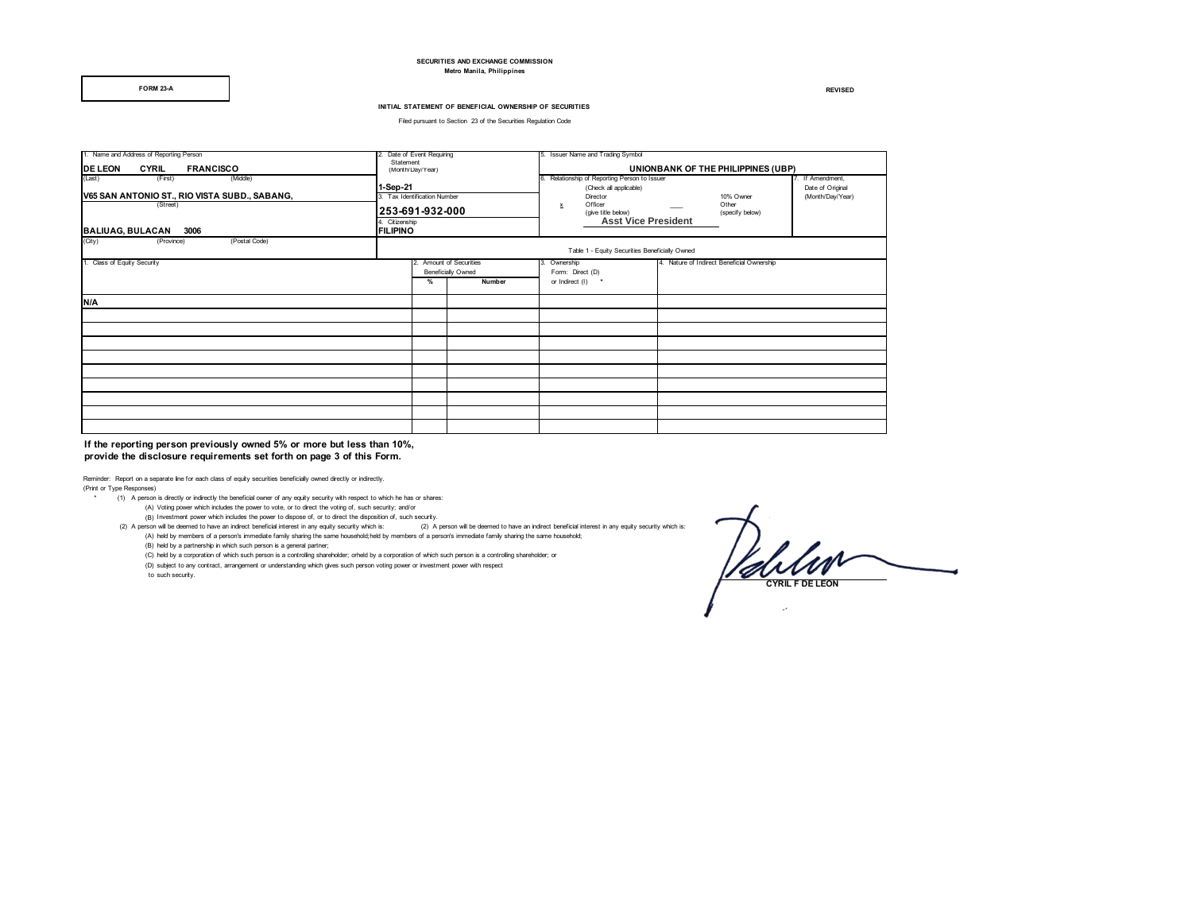#### **SECURITIES AND EXCHANGE COMMISSION Metro Manila, Philippines**

**FORM 23-A REVISED**

### **INITIAL STATEMENT OF BENEFICIAL OWNERSHIP OF SECURITIES**

Filed pursuant to Section 23 of the Securities Regulation Code

| 1. Name and Address of Reporting Person            | Date of Event Requiring                        |   | 5. Issuer Name and Trading Symbol |                                    |                                            |                                            |                    |                  |  |
|----------------------------------------------------|------------------------------------------------|---|-----------------------------------|------------------------------------|--------------------------------------------|--------------------------------------------|--------------------|------------------|--|
| <b>CYRIL</b><br><b>FRANCISCO</b><br><b>DE LEON</b> | Statement<br>(Month/Day/Year)                  |   |                                   | UNIONBANK OF THE PHILIPPINES (UBP) |                                            |                                            |                    |                  |  |
| (Last)<br>(First)<br>(Middle)                      |                                                |   |                                   |                                    | Relationship of Reporting Person to Issuer | 7. If Amendment,                           |                    |                  |  |
|                                                    | 1-Sep-21                                       |   |                                   | (Check all applicable)             |                                            |                                            |                    | Date of Original |  |
| V65 SAN ANTONIO ST., RIO VISTA SUBD., SABANG,      | 3. Tax Identification Number                   |   |                                   |                                    | Director<br>Officer                        |                                            | 10% Owner<br>Other | (Month/Day/Year) |  |
| (Street)                                           | 253-691-932-000                                |   | $\mathbf x$                       | (give title below)                 | $\frac{1}{2}$                              | (specify below)                            |                    |                  |  |
|                                                    | Citizenship                                    |   |                                   |                                    | <b>Asst Vice President</b>                 |                                            |                    |                  |  |
| <b>BALIUAG, BULACAN</b><br>3006                    | <b>FILIPINO</b>                                |   |                                   |                                    |                                            |                                            |                    |                  |  |
| (City)<br>(Postal Code)<br>(Province)              |                                                |   |                                   |                                    |                                            |                                            |                    |                  |  |
|                                                    | Table 1 - Equity Securities Beneficially Owned |   |                                   |                                    |                                            |                                            |                    |                  |  |
| Class of Equity Security                           | 2. Amount of Securities<br>Beneficially Owned  |   |                                   | 3. Ownership                       |                                            | 4. Nature of Indirect Beneficial Ownership |                    |                  |  |
|                                                    |                                                |   |                                   | Form: Direct (D)                   |                                            |                                            |                    |                  |  |
|                                                    |                                                | % | Number                            | or Indirect (I) *                  |                                            |                                            |                    |                  |  |
| N/A                                                |                                                |   |                                   |                                    |                                            |                                            |                    |                  |  |
|                                                    |                                                |   |                                   |                                    |                                            |                                            |                    |                  |  |
|                                                    |                                                |   |                                   |                                    |                                            |                                            |                    |                  |  |
|                                                    |                                                |   |                                   |                                    |                                            |                                            |                    |                  |  |
|                                                    |                                                |   |                                   |                                    |                                            |                                            |                    |                  |  |
|                                                    |                                                |   |                                   |                                    |                                            |                                            |                    |                  |  |
|                                                    |                                                |   |                                   |                                    |                                            |                                            |                    |                  |  |
|                                                    |                                                |   |                                   |                                    |                                            |                                            |                    |                  |  |
|                                                    |                                                |   |                                   |                                    |                                            |                                            |                    |                  |  |
|                                                    |                                                |   |                                   |                                    |                                            |                                            |                    |                  |  |

## **If the reporting person previously owned 5% or more but less than 10%, provide the disclosure requirements set forth on page 3 of this Form.**

Reminder: Report on a separate line for each class of equity securities beneficially owned directly or indirectly.

(Print or Type Responses)

 \* (1) A person is directly or indirectly the beneficial owner of any equity security with respect to which he has or shares: (A) Voting power which includes the power to vote, or to direct the voting of, such security; and/or

(B) Investment power which includes the power to dispose of, or to direct the disposition of, such security.

- (2) A person will be deemed to have an indirect beneficial interest in any equity security which is: (2) A person will be deemed to have an indirect beneficial interest in any equity security which is: (A) held by members of a person's immediate family sharing the same household;held by members of a person's immediate family sharing the same household;<br>(A) held by members of a person's immediate family sharing the same h
	- (B) held by a partnership in which such person is a general partner;
	- (C) held by a corporation of which such person is a controlling shareholder; orheld by a corporation of which such person is a controlling shareholder; or
	- (D) subject to any contract, arrangement or understanding which gives such person voting power or investment power with respect

to such security.

**CYRIL F DE LEON**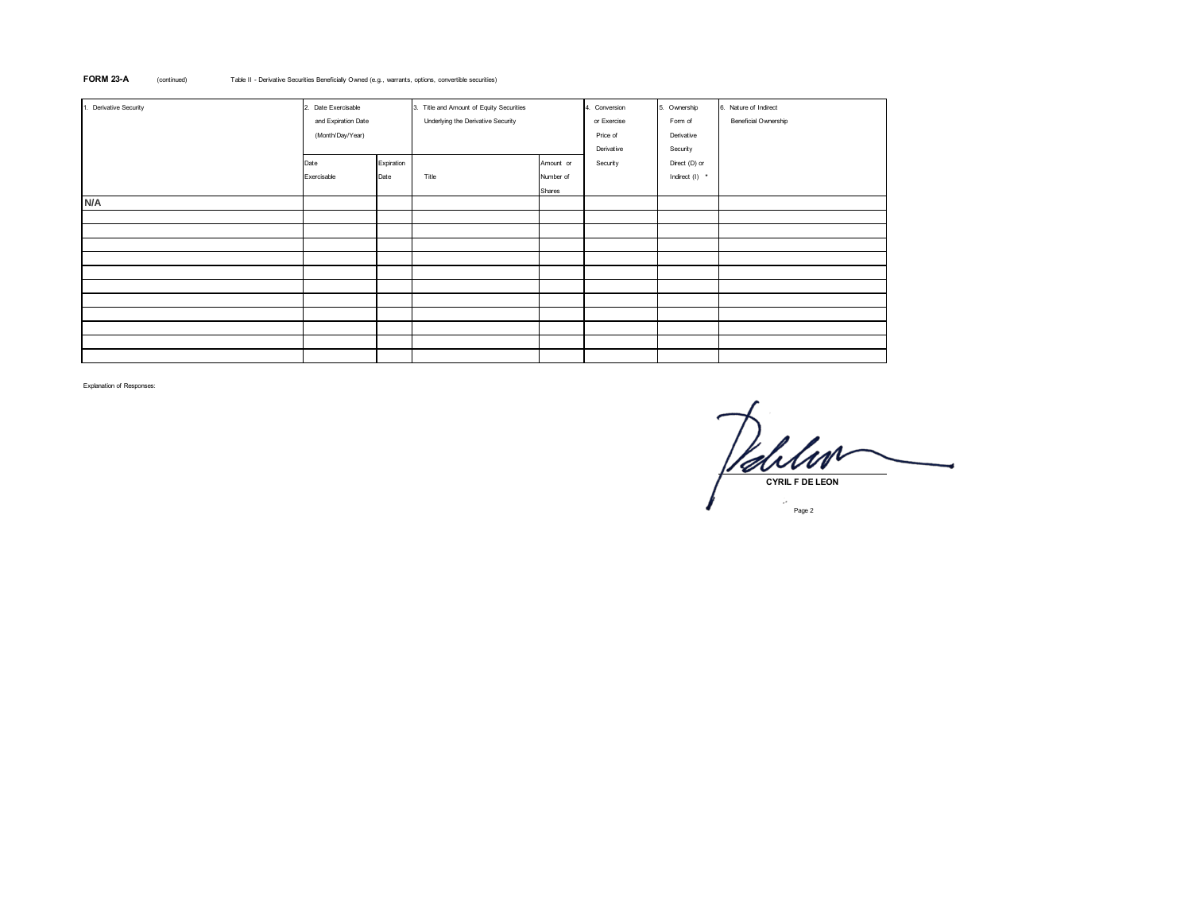## **FORM 23-A** (continued) Table II - Derivative Securities Beneficially Owned (e.g., warrants, options, convertible securities)

| Derivative Security | 2. Date Exercisable<br>and Expiration Date<br>(Month/Day/Year) |                    | 3. Title and Amount of Equity Securities<br>Underlying the Derivative Security | 5. Ownership<br>4. Conversion<br>or Exercise<br>Form of<br>Derivative<br>Price of<br>Derivative<br>Security | 6. Nature of Indirect<br>Beneficial Ownership |                                 |  |
|---------------------|----------------------------------------------------------------|--------------------|--------------------------------------------------------------------------------|-------------------------------------------------------------------------------------------------------------|-----------------------------------------------|---------------------------------|--|
|                     | Date<br>Exercisable                                            | Expiration<br>Date | Title                                                                          | Amount or<br>Number of                                                                                      | Security                                      | Direct (D) or<br>Indirect (I) * |  |
| N/A                 |                                                                |                    |                                                                                | Shares                                                                                                      |                                               |                                 |  |
|                     |                                                                |                    |                                                                                |                                                                                                             |                                               |                                 |  |
|                     |                                                                |                    |                                                                                |                                                                                                             |                                               |                                 |  |
|                     |                                                                |                    |                                                                                |                                                                                                             |                                               |                                 |  |
|                     |                                                                |                    |                                                                                |                                                                                                             |                                               |                                 |  |
|                     |                                                                |                    |                                                                                |                                                                                                             |                                               |                                 |  |
|                     |                                                                |                    |                                                                                |                                                                                                             |                                               |                                 |  |
|                     |                                                                |                    |                                                                                |                                                                                                             |                                               |                                 |  |
|                     |                                                                |                    |                                                                                |                                                                                                             |                                               |                                 |  |
|                     |                                                                |                    |                                                                                |                                                                                                             |                                               |                                 |  |
|                     |                                                                |                    |                                                                                |                                                                                                             |                                               |                                 |  |
|                     |                                                                |                    |                                                                                |                                                                                                             |                                               |                                 |  |

Explanation of Responses:

**CYRIL F DE LEON**  $\cdot$ Page 2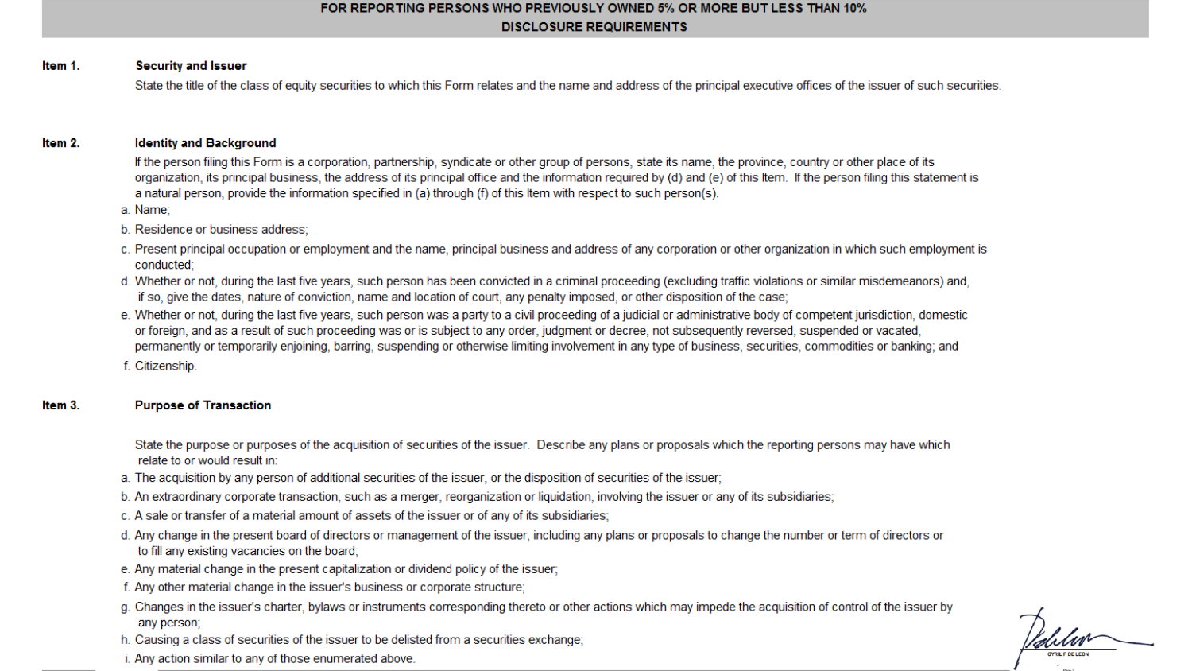# FOR REPORTING PERSONS WHO PREVIOUSLY OWNED 5% OR MORE BUT LESS THAN 10% **DISCLOSURE REQUIREMENTS**

#### **Security and Issuer** Item 1.

State the title of the class of equity securities to which this Form relates and the name and address of the principal executive offices of the issuer of such securities.

#### **Identity and Background** Item 2.

If the person filing this Form is a corporation, partnership, syndicate or other group of persons, state its name, the province, country or other place of its organization, its principal business, the address of its principal office and the information required by (d) and (e) of this Item. If the person filing this statement is a natural person, provide the information specified in (a) through (f) of this ltem with respect to such person(s).

a. Name:

- b. Residence or business address:
- c. Present principal occupation or employment and the name, principal business and address of any corporation or other organization in which such employment is conducted:
- d. Whether or not, during the last five years, such person has been convicted in a criminal proceeding (excluding traffic violations or similar misdemeanors) and, if so, give the dates, nature of conviction, name and location of court, any penalty imposed, or other disposition of the case;
- e. Whether or not, during the last five years, such person was a party to a civil proceeding of a judicial or administrative body of competent jurisdiction, domestic or foreign, and as a result of such proceeding was or is subject to any order, judgment or decree, not subsequently reversed, suspended or vacated, permanently or temporarily enjoining, barring, suspending or otherwise limiting involvement in any type of business, securities, commodities or banking; and

f. Citizenship.

#### **Purpose of Transaction** Item 3.

State the purpose or purposes of the acquisition of securities of the issuer. Describe any plans or proposals which the reporting persons may have which relate to or would result in:

- a. The acquisition by any person of additional securities of the issuer, or the disposition of securities of the issuer;
- b. An extraordinary corporate transaction, such as a merger, reorganization or liquidation, involving the issuer or any of its subsidiaries;
- c. A sale or transfer of a material amount of assets of the issuer or of any of its subsidiaries:
- d. Any change in the present board of directors or management of the issuer, including any plans or proposals to change the number or term of directors or to fill any existing vacancies on the board;
- e. Any material change in the present capitalization or dividend policy of the issuer;
- f. Any other material change in the issuer's business or corporate structure;
- g. Changes in the issuer's charter, bylaws or instruments corresponding thereto or other actions which may impede the acquisition of control of the issuer by any person;
- h. Causing a class of securities of the issuer to be delisted from a securities exchange;
- i. Any action similar to any of those enumerated above.